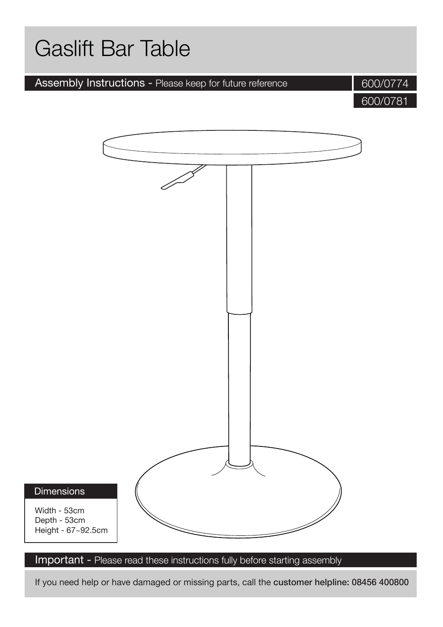# Gaslift Bar Table Assembly Instructions - Please keep for future reference

600/0774

600/0781

#### **Dimensions**

Width - 53cm Depth - 53cm Height - 67~92.5cm

Important - Please read these instructions fully before starting assembly

If you need help or have damaged or missing parts, call the customer helpline: 08456 400800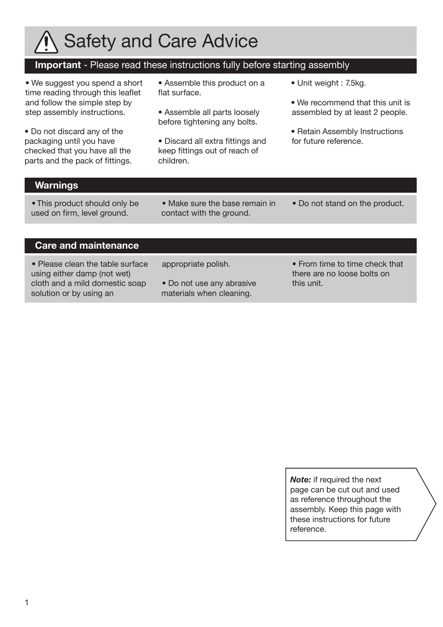

#### **Important** - Please read these instructions fully before starting assembly

• We suggest you spend a short time reading through this leaflet and follow the simple step by step assembly instructions.

• Do not discard any of the packaging until you have checked that you have all the parts and the pack of fittings.

• Assemble this product on a flat surface.

• Assemble all parts loosely before tightening any bolts.

• Discard all extra fittings and keep fittings out of reach of children.

- Unit weight : 7.5kg.
- We recommend that this unit is assembled by at least 2 people.
- Retain Assembly Instructions for future reference.

#### **Warnings**

• This product should only be used on firm, level ground.

• Make sure the base remain in contact with the ground.

• Do not stand on the product.

#### **Care and maintenance**

• Please clean the table surface using either damp (not wet) cloth and a mild domestic soap solution or by using an

appropriate polish.

• Do not use any abrasive materials when cleaning.

• From time to time check that there are no loose bolts on this unit.

*Note:* if required the next page can be cut out and used as reference throughout the assembly. Keep this page with these instructions for future reference.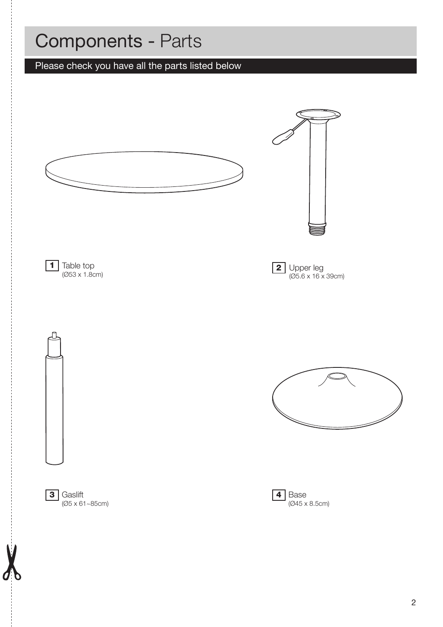# Components - Parts

# Please check you have all the parts listed below

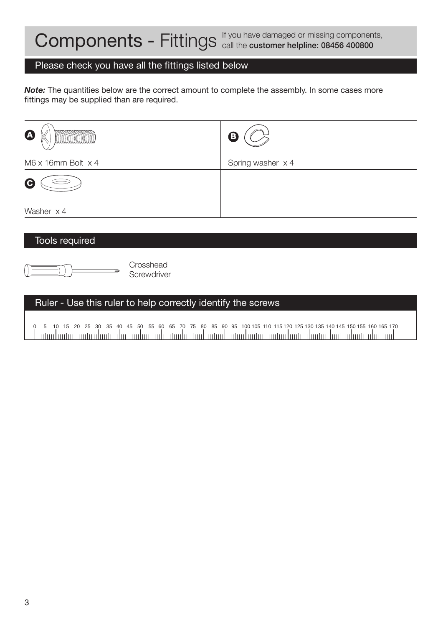#### Please check you have all the fittings listed below

*Note:* The quantities below are the correct amount to complete the assembly. In some cases more fittings may be supplied than are required.

| K<br>$\boldsymbol{\Phi}$          | ®                 |
|-----------------------------------|-------------------|
| $M6 \times 16$ mm Bolt $\times 4$ | Spring washer x 4 |
| G                                 |                   |
| Washer x 4                        |                   |

#### Tools required



#### Ruler - Use this ruler to help correctly identify the screws

0 5 10 15 20 25 30 35 40 45 50 55 60 65 70 75 80 85 90 95 100 105 110 115 120 125 130 135 140 145 150 155 160 165 170 . Ination hartau hartau hartau hartau hartau hartau hartau hartau hartau hartau hartau hartau hartau hartau l